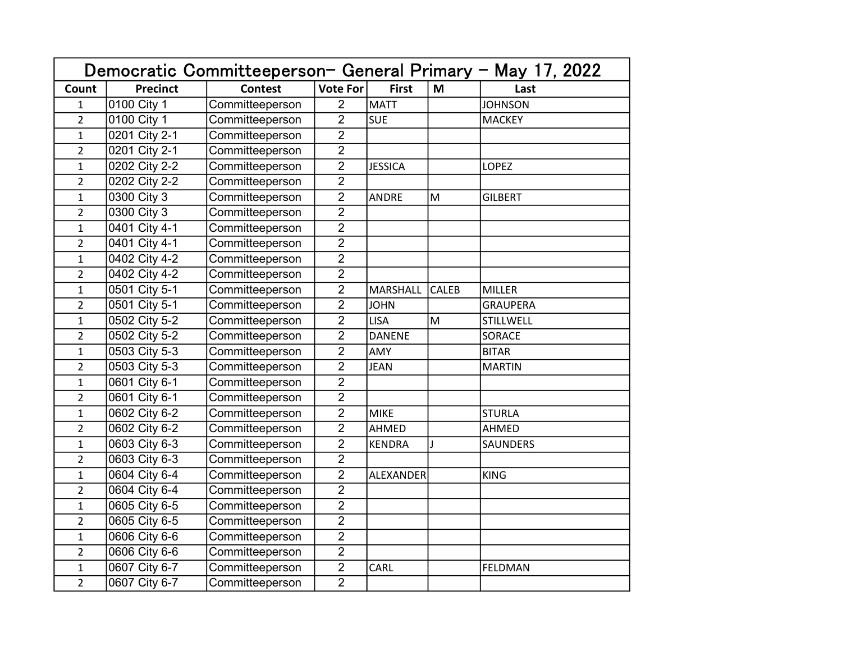| Democratic Committeeperson- General Primary - May 17, 2022 |                 |                 |                 |                 |                                                                                                            |                 |  |
|------------------------------------------------------------|-----------------|-----------------|-----------------|-----------------|------------------------------------------------------------------------------------------------------------|-----------------|--|
| Count                                                      | <b>Precinct</b> | <b>Contest</b>  | <b>Vote For</b> | <b>First</b>    | M                                                                                                          | Last            |  |
| $\mathbf{1}$                                               | 0100 City 1     | Committeeperson | $\overline{2}$  | <b>MATT</b>     |                                                                                                            | <b>JOHNSON</b>  |  |
| $\overline{2}$                                             | 0100 City 1     | Committeeperson | $\overline{2}$  | <b>SUE</b>      |                                                                                                            | <b>MACKEY</b>   |  |
| $\mathbf{1}$                                               | 0201 City 2-1   | Committeeperson | $\overline{2}$  |                 |                                                                                                            |                 |  |
| $\overline{2}$                                             | 0201 City 2-1   | Committeeperson | $\overline{2}$  |                 |                                                                                                            |                 |  |
| $\mathbf{1}$                                               | 0202 City 2-2   | Committeeperson | $\overline{2}$  | <b>JESSICA</b>  |                                                                                                            | <b>LOPEZ</b>    |  |
| $\overline{2}$                                             | 0202 City 2-2   | Committeeperson | $\overline{2}$  |                 |                                                                                                            |                 |  |
| $\overline{1}$                                             | 0300 City 3     | Committeeperson | $\overline{2}$  | <b>ANDRE</b>    | M                                                                                                          | <b>GILBERT</b>  |  |
| $\overline{2}$                                             | 0300 City 3     | Committeeperson | $\overline{2}$  |                 |                                                                                                            |                 |  |
| $\mathbf{1}$                                               | 0401 City 4-1   | Committeeperson | $\overline{2}$  |                 |                                                                                                            |                 |  |
| $\overline{2}$                                             | 0401 City 4-1   | Committeeperson | $\overline{2}$  |                 |                                                                                                            |                 |  |
| $\mathbf{1}$                                               | 0402 City 4-2   | Committeeperson | $\overline{2}$  |                 |                                                                                                            |                 |  |
| $\overline{2}$                                             | 0402 City 4-2   | Committeeperson | $\overline{2}$  |                 |                                                                                                            |                 |  |
| $\mathbf 1$                                                | 0501 City 5-1   | Committeeperson | $\overline{2}$  | <b>MARSHALL</b> | CALEB                                                                                                      | <b>MILLER</b>   |  |
| $\overline{2}$                                             | 0501 City 5-1   | Committeeperson | $\overline{2}$  | <b>JOHN</b>     |                                                                                                            | <b>GRAUPERA</b> |  |
| $\mathbf{1}$                                               | 0502 City 5-2   | Committeeperson | $\overline{2}$  | <b>LISA</b>     | $\mathsf{M}% _{T}=\mathsf{M}_{T}\!\left( a,b\right) ,\ \mathsf{M}_{T}=\mathsf{M}_{T}\!\left( a,b\right) ,$ | STILLWELL       |  |
| $\overline{2}$                                             | 0502 City 5-2   | Committeeperson | $\overline{2}$  | <b>DANENE</b>   |                                                                                                            | <b>SORACE</b>   |  |
| $\mathbf{1}$                                               | 0503 City 5-3   | Committeeperson | $\overline{2}$  | AMY             |                                                                                                            | <b>BITAR</b>    |  |
| $\overline{2}$                                             | 0503 City 5-3   | Committeeperson | $\overline{2}$  | <b>JEAN</b>     |                                                                                                            | <b>MARTIN</b>   |  |
| 1                                                          | 0601 City 6-1   | Committeeperson | $\overline{2}$  |                 |                                                                                                            |                 |  |
| $\overline{2}$                                             | 0601 City 6-1   | Committeeperson | $\overline{2}$  |                 |                                                                                                            |                 |  |
| $\mathbf{1}$                                               | 0602 City 6-2   | Committeeperson | $\overline{2}$  | <b>MIKE</b>     |                                                                                                            | <b>STURLA</b>   |  |
| $\overline{2}$                                             | 0602 City 6-2   | Committeeperson | $\overline{2}$  | AHMED           |                                                                                                            | AHMED           |  |
| $\mathbf{1}$                                               | 0603 City 6-3   | Committeeperson | $\overline{2}$  | <b>KENDRA</b>   | $\mathbf{I}$                                                                                               | <b>SAUNDERS</b> |  |
| $\overline{2}$                                             | 0603 City 6-3   | Committeeperson | $\overline{2}$  |                 |                                                                                                            |                 |  |
| 1                                                          | 0604 City 6-4   | Committeeperson | $\overline{2}$  | ALEXANDER       |                                                                                                            | <b>KING</b>     |  |
| $\overline{a}$                                             | 0604 City 6-4   | Committeeperson | $\overline{2}$  |                 |                                                                                                            |                 |  |
| $\mathbf 1$                                                | 0605 City 6-5   | Committeeperson | $\overline{2}$  |                 |                                                                                                            |                 |  |
| $\overline{2}$                                             | 0605 City 6-5   | Committeeperson | $\overline{2}$  |                 |                                                                                                            |                 |  |
| $\mathbf{1}$                                               | 0606 City 6-6   | Committeeperson | $\overline{2}$  |                 |                                                                                                            |                 |  |
| $\overline{2}$                                             | 0606 City 6-6   | Committeeperson | $\overline{2}$  |                 |                                                                                                            |                 |  |
| $\mathbf{1}$                                               | 0607 City 6-7   | Committeeperson | $\overline{2}$  | CARL            |                                                                                                            | FELDMAN         |  |
| $\overline{2}$                                             | 0607 City 6-7   | Committeeperson | $\overline{2}$  |                 |                                                                                                            |                 |  |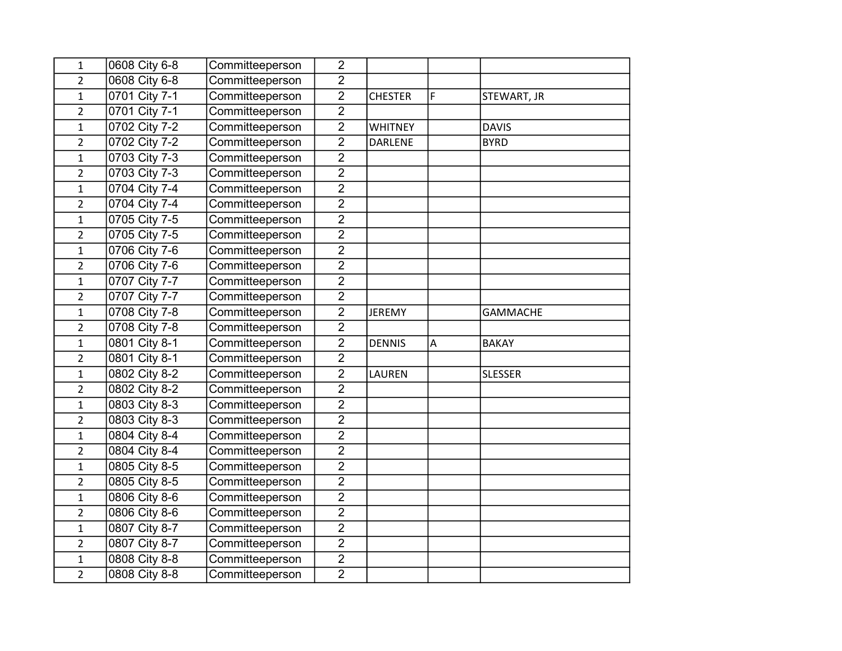| $\mathbf{1}$   | 0608 City 6-8              | Committeeperson | $\overline{2}$ |                |   |                 |
|----------------|----------------------------|-----------------|----------------|----------------|---|-----------------|
| $\overline{2}$ | 0608 City 6-8              | Committeeperson | $\overline{2}$ |                |   |                 |
| $\mathbf{1}$   | 0701 City 7-1              | Committeeperson | $\overline{2}$ | <b>CHESTER</b> | F | STEWART, JR     |
| $\overline{2}$ | 0701 City 7-1              | Committeeperson | $\overline{2}$ |                |   |                 |
| $\mathbf{1}$   | 0702 City 7-2              | Committeeperson | $\overline{2}$ | <b>WHITNEY</b> |   | <b>DAVIS</b>    |
| $\overline{2}$ | 0702 City 7-2              | Committeeperson | $\overline{2}$ | <b>DARLENE</b> |   | <b>BYRD</b>     |
| $\mathbf{1}$   | 0703 City 7-3              | Committeeperson | $\overline{2}$ |                |   |                 |
| $\overline{2}$ | $\overline{0703}$ City 7-3 | Committeeperson | $\overline{2}$ |                |   |                 |
| $\mathbf{1}$   | 0704 City 7-4              | Committeeperson | $\overline{2}$ |                |   |                 |
| $\overline{2}$ | 0704 City 7-4              | Committeeperson | $\overline{2}$ |                |   |                 |
| $\mathbf{1}$   | 0705 City 7-5              | Committeeperson | $\overline{2}$ |                |   |                 |
| $\overline{2}$ | 0705 City 7-5              | Committeeperson | $\overline{2}$ |                |   |                 |
| $\mathbf{1}$   | 0706 City 7-6              | Committeeperson | $\overline{2}$ |                |   |                 |
| $\overline{2}$ | 0706 City 7-6              | Committeeperson | $\overline{2}$ |                |   |                 |
| $\mathbf{1}$   | 0707 City 7-7              | Committeeperson | $\overline{2}$ |                |   |                 |
| $\overline{2}$ | 0707 City 7-7              | Committeeperson | $\overline{2}$ |                |   |                 |
| $\mathbf 1$    | 0708 City 7-8              | Committeeperson | $\overline{2}$ | <b>JEREMY</b>  |   | <b>GAMMACHE</b> |
| $\overline{2}$ | 0708 City 7-8              | Committeeperson | $\overline{2}$ |                |   |                 |
| $\mathbf{1}$   | 0801 City 8-1              | Committeeperson | $\overline{2}$ | <b>DENNIS</b>  | A | <b>BAKAY</b>    |
| $\overline{2}$ | 0801 City 8-1              | Committeeperson | $\overline{2}$ |                |   |                 |
| $\mathbf{1}$   | 0802 City 8-2              | Committeeperson | $\overline{2}$ | LAUREN         |   | <b>SLESSER</b>  |
| $\overline{2}$ | 0802 City 8-2              | Committeeperson | $\overline{2}$ |                |   |                 |
| $\mathbf{1}$   | 0803 City 8-3              | Committeeperson | $\overline{2}$ |                |   |                 |
| $\overline{2}$ | 0803 City 8-3              | Committeeperson | $\overline{2}$ |                |   |                 |
| $\mathbf{1}$   | 0804 City 8-4              | Committeeperson | $\overline{2}$ |                |   |                 |
| $\overline{2}$ | 0804 City 8-4              | Committeeperson | $\overline{2}$ |                |   |                 |
| $\mathbf 1$    | 0805 City 8-5              | Committeeperson | $\overline{2}$ |                |   |                 |
| $\overline{2}$ | 0805 City 8-5              | Committeeperson | $\overline{2}$ |                |   |                 |
| $\mathbf{1}$   | 0806 City 8-6              | Committeeperson | $\overline{2}$ |                |   |                 |
| $\overline{2}$ | 0806 City 8-6              | Committeeperson | $\overline{2}$ |                |   |                 |
| $\mathbf{1}$   | 0807 City 8-7              | Committeeperson | $\overline{2}$ |                |   |                 |
| $\overline{2}$ | 0807 City 8-7              | Committeeperson | $\overline{2}$ |                |   |                 |
| $\mathbf{1}$   | 0808 City 8-8              | Committeeperson | $\overline{2}$ |                |   |                 |
| $\overline{2}$ | 0808 City 8-8              | Committeeperson | $\overline{2}$ |                |   |                 |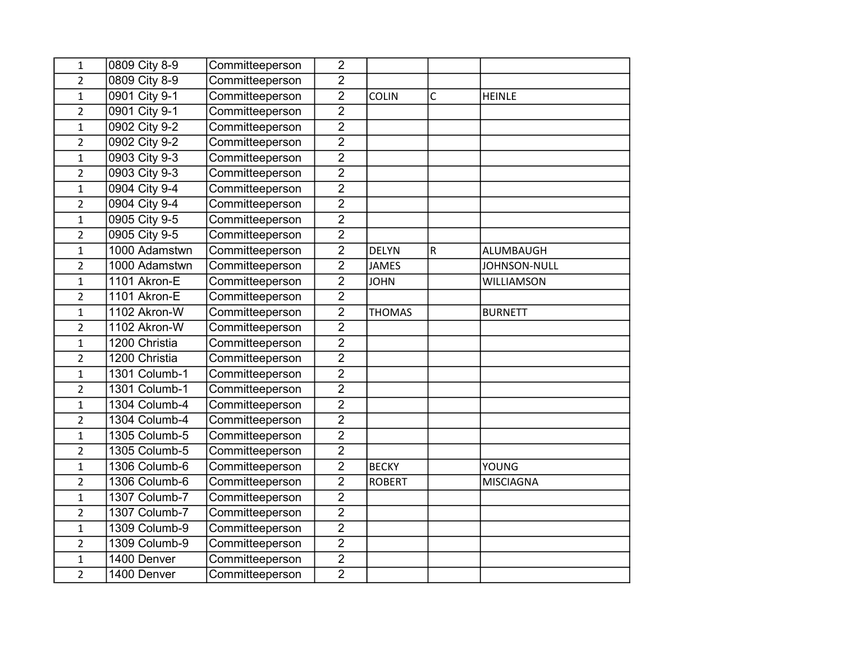| $\mathbf{1}$            | 0809 City 8-9 | Committeeperson | $\overline{2}$ |               |           |                   |
|-------------------------|---------------|-----------------|----------------|---------------|-----------|-------------------|
| $\overline{2}$          | 0809 City 8-9 | Committeeperson | $\overline{2}$ |               |           |                   |
| $\mathbf{1}$            | 0901 City 9-1 | Committeeperson | $\overline{2}$ | COLIN         | C         | <b>HEINLE</b>     |
| $\overline{2}$          | 0901 City 9-1 | Committeeperson | $\overline{2}$ |               |           |                   |
| $\mathbf 1$             | 0902 City 9-2 | Committeeperson | $\overline{2}$ |               |           |                   |
| $\overline{2}$          | 0902 City 9-2 | Committeeperson | $\overline{2}$ |               |           |                   |
| $\mathbf 1$             | 0903 City 9-3 | Committeeperson | $\overline{2}$ |               |           |                   |
| $\overline{2}$          | 0903 City 9-3 | Committeeperson | $\overline{2}$ |               |           |                   |
| $\mathbf 1$             | 0904 City 9-4 | Committeeperson | $\overline{2}$ |               |           |                   |
| $\overline{2}$          | 0904 City 9-4 | Committeeperson | $\overline{2}$ |               |           |                   |
| $\mathbf{1}$            | 0905 City 9-5 | Committeeperson | $\overline{2}$ |               |           |                   |
| $\overline{2}$          | 0905 City 9-5 | Committeeperson | $\overline{2}$ |               |           |                   |
| $\mathbf{1}$            | 1000 Adamstwn | Committeeperson | $\overline{2}$ | <b>DELYN</b>  | ${\sf R}$ | ALUMBAUGH         |
| $\overline{2}$          | 1000 Adamstwn | Committeeperson | $\overline{2}$ | <b>JAMES</b>  |           | JOHNSON-NULL      |
| $\mathbf 1$             | 1101 Akron-E  | Committeeperson | $\overline{2}$ | <b>JOHN</b>   |           | <b>WILLIAMSON</b> |
| $\overline{\mathbf{c}}$ | 1101 Akron-E  | Committeeperson | $\overline{2}$ |               |           |                   |
| $\mathbf{1}$            | 1102 Akron-W  | Committeeperson | $\overline{2}$ | <b>THOMAS</b> |           | <b>BURNETT</b>    |
| $\overline{2}$          | 1102 Akron-W  | Committeeperson | $\overline{2}$ |               |           |                   |
| $\mathbf{1}$            | 1200 Christia | Committeeperson | $\overline{2}$ |               |           |                   |
| $\overline{2}$          | 1200 Christia | Committeeperson | $\overline{2}$ |               |           |                   |
| $\mathbf{1}$            | 1301 Columb-1 | Committeeperson | $\overline{2}$ |               |           |                   |
| $\overline{2}$          | 1301 Columb-1 | Committeeperson | $\overline{2}$ |               |           |                   |
| $\mathbf{1}$            | 1304 Columb-4 | Committeeperson | $\overline{2}$ |               |           |                   |
| $\overline{2}$          | 1304 Columb-4 | Committeeperson | $\overline{2}$ |               |           |                   |
| $\mathbf 1$             | 1305 Columb-5 | Committeeperson | $\overline{2}$ |               |           |                   |
| $\overline{2}$          | 1305 Columb-5 | Committeeperson | $\overline{2}$ |               |           |                   |
| $\mathbf 1$             | 1306 Columb-6 | Committeeperson | $\overline{2}$ | <b>BECKY</b>  |           | YOUNG             |
| $\overline{2}$          | 1306 Columb-6 | Committeeperson | $\overline{2}$ | <b>ROBERT</b> |           | <b>MISCIAGNA</b>  |
| $\mathbf{1}$            | 1307 Columb-7 | Committeeperson | $\overline{2}$ |               |           |                   |
| $\overline{2}$          | 1307 Columb-7 | Committeeperson | $\overline{2}$ |               |           |                   |
| $\mathbf{1}$            | 1309 Columb-9 | Committeeperson | $\overline{2}$ |               |           |                   |
| $\overline{2}$          | 1309 Columb-9 | Committeeperson | $\overline{2}$ |               |           |                   |
| $\mathbf{1}$            | 1400 Denver   | Committeeperson | $\overline{2}$ |               |           |                   |
| $\overline{2}$          | 1400 Denver   | Committeeperson | $\overline{2}$ |               |           |                   |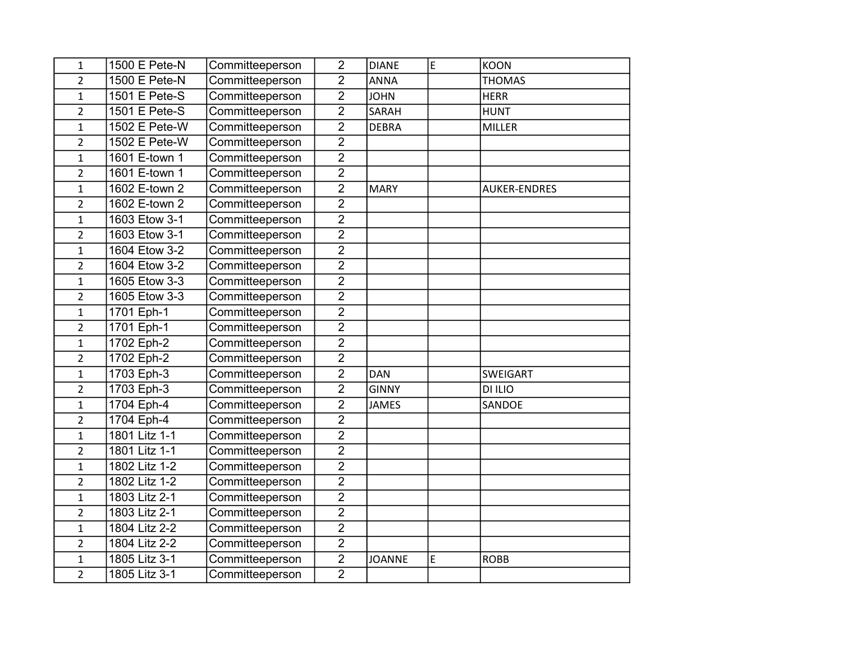| $\mathbf{1}$   | 1500 E Pete-N | Committeeperson | $\overline{2}$ | <b>DIANE</b>  | E  | <b>KOON</b>         |
|----------------|---------------|-----------------|----------------|---------------|----|---------------------|
| $\overline{a}$ | 1500 E Pete-N | Committeeperson | $\overline{2}$ | <b>ANNA</b>   |    | <b>THOMAS</b>       |
| $\mathbf{1}$   | 1501 E Pete-S | Committeeperson | $\overline{2}$ | <b>JOHN</b>   |    | <b>HERR</b>         |
| $\overline{2}$ | 1501 E Pete-S | Committeeperson | $\overline{2}$ | SARAH         |    | <b>HUNT</b>         |
| $\mathbf{1}$   | 1502 E Pete-W | Committeeperson | $\overline{2}$ | <b>DEBRA</b>  |    | <b>MILLER</b>       |
| $\overline{2}$ | 1502 E Pete-W | Committeeperson | $\overline{2}$ |               |    |                     |
| $\mathbf{1}$   | 1601 E-town 1 | Committeeperson | $\overline{2}$ |               |    |                     |
| $\overline{2}$ | 1601 E-town 1 | Committeeperson | $\overline{2}$ |               |    |                     |
| $\mathbf{1}$   | 1602 E-town 2 | Committeeperson | $\overline{2}$ | <b>MARY</b>   |    | <b>AUKER-ENDRES</b> |
| $\overline{2}$ | 1602 E-town 2 | Committeeperson | $\overline{2}$ |               |    |                     |
| $\mathbf{1}$   | 1603 Etow 3-1 | Committeeperson | $\overline{2}$ |               |    |                     |
| $\overline{2}$ | 1603 Etow 3-1 | Committeeperson | $\overline{2}$ |               |    |                     |
| $\mathbf{1}$   | 1604 Etow 3-2 | Committeeperson | $\overline{2}$ |               |    |                     |
| $\overline{2}$ | 1604 Etow 3-2 | Committeeperson | $\overline{2}$ |               |    |                     |
| $\mathbf{1}$   | 1605 Etow 3-3 | Committeeperson | $\overline{2}$ |               |    |                     |
| $\overline{2}$ | 1605 Etow 3-3 | Committeeperson | $\overline{2}$ |               |    |                     |
| $\mathbf{1}$   | 1701 Eph-1    | Committeeperson | $\overline{2}$ |               |    |                     |
| $\overline{2}$ | 1701 Eph-1    | Committeeperson | $\overline{2}$ |               |    |                     |
| $\mathbf{1}$   | 1702 Eph-2    | Committeeperson | $\overline{2}$ |               |    |                     |
| $\overline{2}$ | 1702 Eph-2    | Committeeperson | $\overline{2}$ |               |    |                     |
| $\mathbf{1}$   | 1703 Eph-3    | Committeeperson | $\overline{2}$ | <b>DAN</b>    |    | <b>SWEIGART</b>     |
| $\overline{2}$ | 1703 Eph-3    | Committeeperson | $\overline{2}$ | <b>GINNY</b>  |    | DI ILIO             |
| $\mathbf{1}$   | 1704 Eph-4    | Committeeperson | $\overline{2}$ | <b>JAMES</b>  |    | SANDOE              |
| $\overline{2}$ | 1704 Eph-4    | Committeeperson | $\overline{2}$ |               |    |                     |
| $\mathbf{1}$   | 1801 Litz 1-1 | Committeeperson | $\overline{2}$ |               |    |                     |
| $\overline{2}$ | 1801 Litz 1-1 | Committeeperson | $\overline{2}$ |               |    |                     |
| $\mathbf{1}$   | 1802 Litz 1-2 | Committeeperson | $\overline{2}$ |               |    |                     |
| $\overline{2}$ | 1802 Litz 1-2 | Committeeperson | $\overline{2}$ |               |    |                     |
| $\mathbf{1}$   | 1803 Litz 2-1 | Committeeperson | $\overline{2}$ |               |    |                     |
| $\overline{2}$ | 1803 Litz 2-1 | Committeeperson | $\overline{2}$ |               |    |                     |
| $\mathbf{1}$   | 1804 Litz 2-2 | Committeeperson | $\overline{2}$ |               |    |                     |
| $\overline{2}$ | 1804 Litz 2-2 | Committeeperson | $\overline{2}$ |               |    |                     |
| $\mathbf{1}$   | 1805 Litz 3-1 | Committeeperson | $\overline{2}$ | <b>JOANNE</b> | E. | <b>ROBB</b>         |
| $\overline{2}$ | 1805 Litz 3-1 | Committeeperson | $\overline{2}$ |               |    |                     |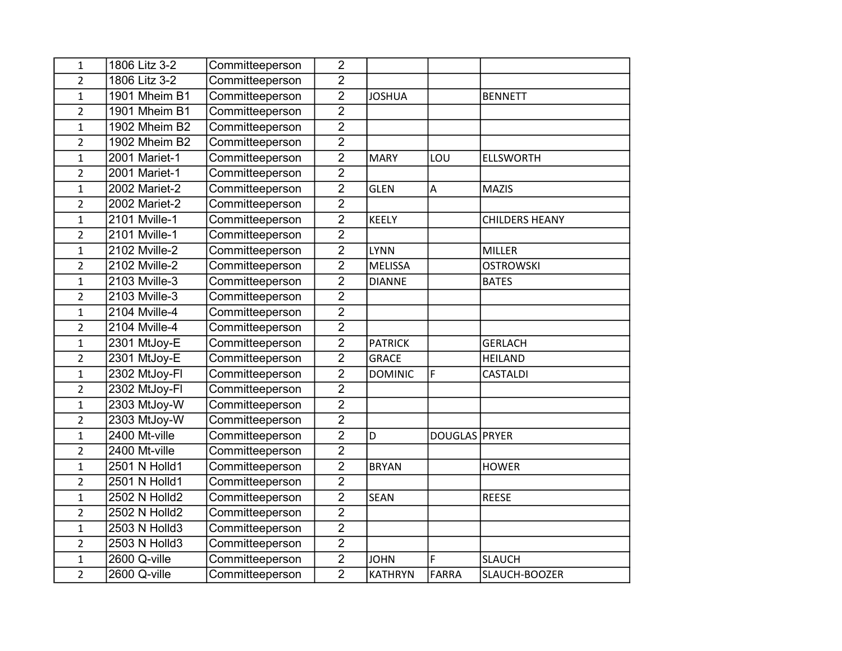| $\mathbf{1}$   | 1806 Litz 3-2 | Committeeperson | $\overline{2}$ |                |               |                       |
|----------------|---------------|-----------------|----------------|----------------|---------------|-----------------------|
| $\overline{2}$ | 1806 Litz 3-2 | Committeeperson | $\overline{2}$ |                |               |                       |
| $\mathbf{1}$   | 1901 Mheim B1 | Committeeperson | $\overline{2}$ | <b>JOSHUA</b>  |               | <b>BENNETT</b>        |
| $\overline{2}$ | 1901 Mheim B1 | Committeeperson | $\overline{2}$ |                |               |                       |
| $\mathbf{1}$   | 1902 Mheim B2 | Committeeperson | $\overline{2}$ |                |               |                       |
| $\overline{2}$ | 1902 Mheim B2 | Committeeperson | $\overline{2}$ |                |               |                       |
| $\mathbf{1}$   | 2001 Mariet-1 | Committeeperson | $\overline{2}$ | <b>MARY</b>    | LOU           | <b>ELLSWORTH</b>      |
| $\overline{2}$ | 2001 Mariet-1 | Committeeperson | $\overline{2}$ |                |               |                       |
| $\mathbf{1}$   | 2002 Mariet-2 | Committeeperson | $\overline{2}$ | <b>GLEN</b>    | Α             | <b>MAZIS</b>          |
| $\overline{2}$ | 2002 Mariet-2 | Committeeperson | $\overline{2}$ |                |               |                       |
| $\mathbf{1}$   | 2101 Mville-1 | Committeeperson | $\overline{2}$ | <b>KEELY</b>   |               | <b>CHILDERS HEANY</b> |
| $\overline{2}$ | 2101 Mville-1 | Committeeperson | $\overline{2}$ |                |               |                       |
| $\mathbf{1}$   | 2102 Mville-2 | Committeeperson | $\overline{2}$ | <b>LYNN</b>    |               | <b>MILLER</b>         |
| $\overline{2}$ | 2102 Mville-2 | Committeeperson | $\overline{2}$ | <b>MELISSA</b> |               | <b>OSTROWSKI</b>      |
| $\mathbf{1}$   | 2103 Mville-3 | Committeeperson | $\overline{2}$ | <b>DIANNE</b>  |               | <b>BATES</b>          |
| $\overline{2}$ | 2103 Mville-3 | Committeeperson | $\overline{2}$ |                |               |                       |
| $\mathbf{1}$   | 2104 Mville-4 | Committeeperson | $\overline{2}$ |                |               |                       |
| $\overline{2}$ | 2104 Mville-4 | Committeeperson | $\overline{2}$ |                |               |                       |
| $\mathbf{1}$   | 2301 MtJoy-E  | Committeeperson | $\overline{2}$ | <b>PATRICK</b> |               | <b>GERLACH</b>        |
| $\overline{2}$ | 2301 MtJoy-E  | Committeeperson | $\overline{2}$ | <b>GRACE</b>   |               | <b>HEILAND</b>        |
| $\mathbf{1}$   | 2302 MtJoy-Fl | Committeeperson | $\overline{2}$ | <b>DOMINIC</b> | F             | CASTALDI              |
| $\overline{2}$ | 2302 MtJoy-Fl | Committeeperson | $\overline{2}$ |                |               |                       |
| $\mathbf{1}$   | 2303 MtJoy-W  | Committeeperson | $\overline{2}$ |                |               |                       |
| $\overline{2}$ | 2303 MtJoy-W  | Committeeperson | $\overline{2}$ |                |               |                       |
| $\mathbf{1}$   | 2400 Mt-ville | Committeeperson | $\overline{2}$ | D              | DOUGLAS PRYER |                       |
| $\overline{2}$ | 2400 Mt-ville | Committeeperson | $\overline{2}$ |                |               |                       |
| $\mathbf{1}$   | 2501 N Holld1 | Committeeperson | $\overline{2}$ | <b>BRYAN</b>   |               | <b>HOWER</b>          |
| $\overline{2}$ | 2501 N Holld1 | Committeeperson | $\overline{2}$ |                |               |                       |
| $\mathbf{1}$   | 2502 N Holld2 | Committeeperson | $\overline{2}$ | <b>SEAN</b>    |               | <b>REESE</b>          |
| $\overline{2}$ | 2502 N Holld2 | Committeeperson | $\overline{2}$ |                |               |                       |
| $\mathbf 1$    | 2503 N Holld3 | Committeeperson | $\overline{2}$ |                |               |                       |
| $\overline{2}$ | 2503 N Holld3 | Committeeperson | $\overline{2}$ |                |               |                       |
| $\mathbf{1}$   | 2600 Q-ville  | Committeeperson | $\overline{2}$ | <b>JOHN</b>    | F             | <b>SLAUCH</b>         |
| $\overline{2}$ | 2600 Q-ville  | Committeeperson | $\overline{2}$ | <b>KATHRYN</b> | <b>FARRA</b>  | SLAUCH-BOOZER         |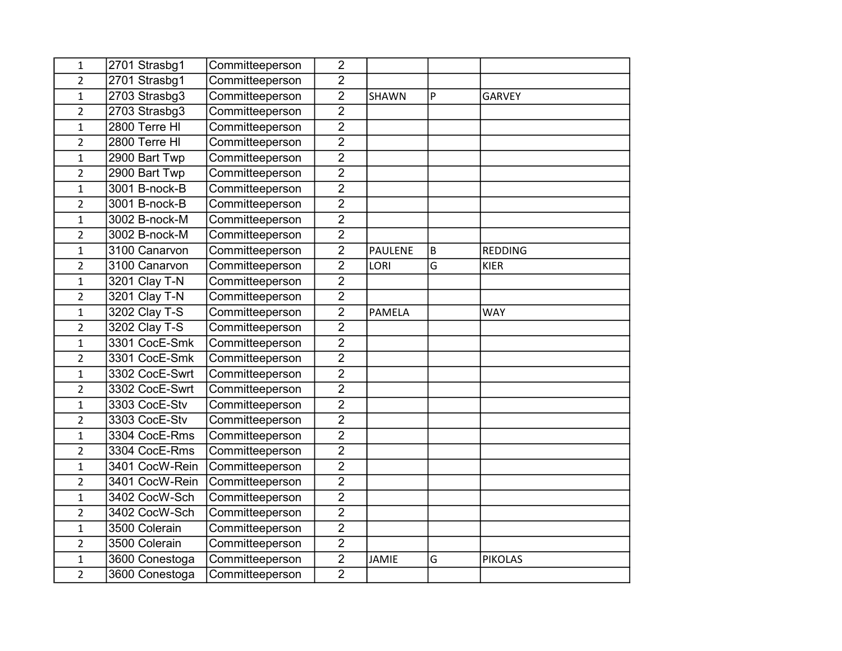| $\mathbf 1$    | 2701 Strasbg1   | Committeeperson | $\overline{2}$ |                |   |                |
|----------------|-----------------|-----------------|----------------|----------------|---|----------------|
| $\overline{2}$ | 2701 Strasbg1   | Committeeperson | $\overline{2}$ |                |   |                |
| $\mathbf{1}$   | 2703 Strasbg3   | Committeeperson | $\overline{2}$ | SHAWN          | P | <b>GARVEY</b>  |
| $\overline{2}$ | $2703$ Strasbg3 | Committeeperson | $\overline{2}$ |                |   |                |
| $\overline{1}$ | 2800 Terre HI   | Committeeperson | $\overline{2}$ |                |   |                |
| $\overline{2}$ | 2800 Terre HI   | Committeeperson | $\overline{2}$ |                |   |                |
| $\mathbf 1$    | 2900 Bart Twp   | Committeeperson | $\overline{2}$ |                |   |                |
| $\overline{2}$ | 2900 Bart Twp   | Committeeperson | $\overline{2}$ |                |   |                |
| $\mathbf{1}$   | 3001 B-nock-B   | Committeeperson | $\overline{2}$ |                |   |                |
| $\overline{2}$ | 3001 B-nock-B   | Committeeperson | $\overline{2}$ |                |   |                |
| $\mathbf{1}$   | 3002 B-nock-M   | Committeeperson | $\overline{2}$ |                |   |                |
| $\overline{2}$ | 3002 B-nock-M   | Committeeperson | $\overline{2}$ |                |   |                |
| $\mathbf{1}$   | 3100 Canarvon   | Committeeperson | $\overline{2}$ | <b>PAULENE</b> | B | <b>REDDING</b> |
| $\overline{2}$ | 3100 Canarvon   | Committeeperson | $\overline{2}$ | LORI           | G | <b>KIER</b>    |
| $\mathbf 1$    | 3201 Clay T-N   | Committeeperson | $\overline{2}$ |                |   |                |
| $\overline{2}$ | 3201 Clay T-N   | Committeeperson | $\overline{2}$ |                |   |                |
| $\mathbf{1}$   | 3202 Clay T-S   | Committeeperson | $\overline{2}$ | <b>PAMELA</b>  |   | <b>WAY</b>     |
| $\overline{2}$ | 3202 Clay T-S   | Committeeperson | $\overline{2}$ |                |   |                |
| $\mathbf{1}$   | 3301 CocE-Smk   | Committeeperson | $\overline{2}$ |                |   |                |
| $\overline{2}$ | 3301 CocE-Smk   | Committeeperson | $\overline{2}$ |                |   |                |
| $\mathbf{1}$   | 3302 CocE-Swrt  | Committeeperson | $\overline{2}$ |                |   |                |
| $\overline{2}$ | 3302 CocE-Swrt  | Committeeperson | $\overline{2}$ |                |   |                |
| 1              | 3303 CocE-Stv   | Committeeperson | $\overline{2}$ |                |   |                |
| $\overline{2}$ | 3303 CocE-Stv   | Committeeperson | $\overline{2}$ |                |   |                |
| $\mathbf{1}$   | 3304 CocE-Rms   | Committeeperson | $\overline{2}$ |                |   |                |
| $\overline{2}$ | 3304 CocE-Rms   | Committeeperson | $\overline{2}$ |                |   |                |
| $\mathbf 1$    | 3401 CocW-Rein  | Committeeperson | $\overline{2}$ |                |   |                |
| $\overline{2}$ | 3401 CocW-Rein  | Committeeperson | $\overline{2}$ |                |   |                |
| $\mathbf{1}$   | 3402 CocW-Sch   | Committeeperson | $\overline{2}$ |                |   |                |
| $\overline{2}$ | 3402 CocW-Sch   | Committeeperson | $\overline{2}$ |                |   |                |
| $\overline{1}$ | 3500 Colerain   | Committeeperson | $\overline{2}$ |                |   |                |
| $\overline{2}$ | 3500 Colerain   | Committeeperson | $\overline{c}$ |                |   |                |
| $\mathbf 1$    | 3600 Conestoga  | Committeeperson | $\overline{2}$ | <b>JAMIE</b>   | G | <b>PIKOLAS</b> |
| $\overline{2}$ | 3600 Conestoga  | Committeeperson | $\overline{2}$ |                |   |                |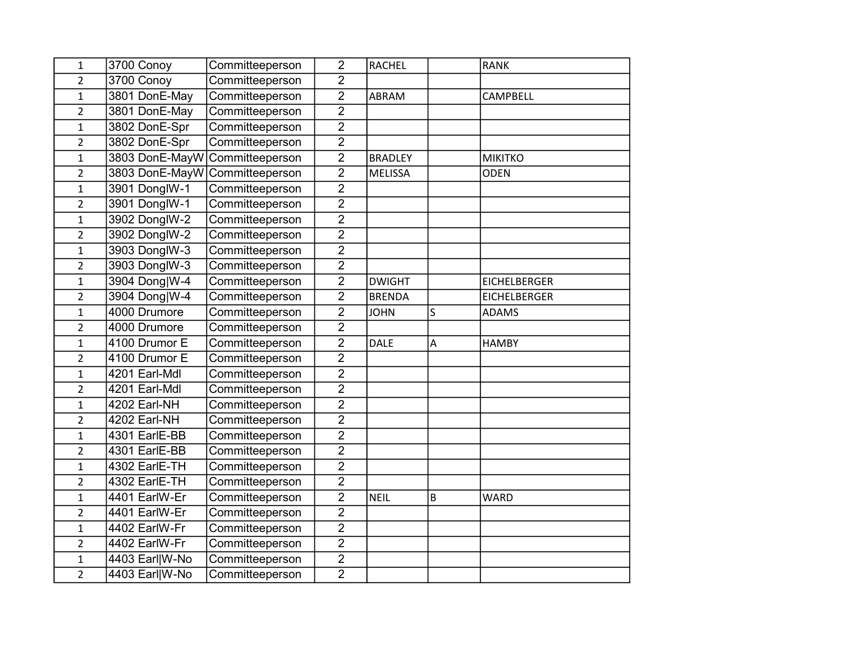| 1              | 3700 Conoy                     | Committeeperson | $\overline{2}$ | <b>RACHEL</b>  |   | <b>RANK</b>         |
|----------------|--------------------------------|-----------------|----------------|----------------|---|---------------------|
| $\overline{2}$ | 3700 Conoy                     | Committeeperson | $\overline{2}$ |                |   |                     |
| $\mathbf{1}$   | 3801 DonE-May                  | Committeeperson | $\overline{2}$ | ABRAM          |   | CAMPBELL            |
| $\overline{2}$ | 3801 DonE-May                  | Committeeperson | $\overline{2}$ |                |   |                     |
| $\mathbf{1}$   | 3802 DonE-Spr                  | Committeeperson | $\overline{2}$ |                |   |                     |
| $\overline{c}$ | 3802 DonE-Spr                  | Committeeperson | $\overline{2}$ |                |   |                     |
| $\mathbf{1}$   | 3803 DonE-MayW                 | Committeeperson | $\overline{2}$ | <b>BRADLEY</b> |   | <b>MIKITKO</b>      |
| $\overline{2}$ | 3803 DonE-MayW Committeeperson |                 | $\overline{2}$ | <b>MELISSA</b> |   | <b>ODEN</b>         |
| $\mathbf{1}$   | 3901 DonglW-1                  | Committeeperson | $\overline{2}$ |                |   |                     |
| $\overline{2}$ | 3901 DonglW-1                  | Committeeperson | $\overline{2}$ |                |   |                     |
| $\mathbf{1}$   | 3902 DonglW-2                  | Committeeperson | $\overline{2}$ |                |   |                     |
| $\overline{2}$ | 3902 DonglW-2                  | Committeeperson | $\overline{2}$ |                |   |                     |
| $\mathbf{1}$   | 3903 DonglW-3                  | Committeeperson | $\overline{2}$ |                |   |                     |
| $\overline{2}$ | 3903 DonglW-3                  | Committeeperson | $\overline{2}$ |                |   |                     |
| $\mathbf{1}$   | 3904 Dong W-4                  | Committeeperson | $\overline{2}$ | <b>DWIGHT</b>  |   | <b>EICHELBERGER</b> |
| $\overline{2}$ | 3904 Dong W-4                  | Committeeperson | $\overline{2}$ | <b>BRENDA</b>  |   | <b>EICHELBERGER</b> |
| $\mathbf{1}$   | 4000 Drumore                   | Committeeperson | $\overline{2}$ | <b>JOHN</b>    | S | <b>ADAMS</b>        |
| $\overline{2}$ | 4000 Drumore                   | Committeeperson | $\overline{2}$ |                |   |                     |
| $\mathbf{1}$   | 4100 Drumor E                  | Committeeperson | $\overline{2}$ | <b>DALE</b>    | A | <b>HAMBY</b>        |
| $\overline{2}$ | 4100 Drumor E                  | Committeeperson | $\overline{2}$ |                |   |                     |
| $\mathbf{1}$   | 4201 Earl-Mdl                  | Committeeperson | $\overline{2}$ |                |   |                     |
| $\overline{2}$ | 4201 Earl-Mdl                  | Committeeperson | $\overline{2}$ |                |   |                     |
| $\mathbf{1}$   | 4202 Earl-NH                   | Committeeperson | $\overline{2}$ |                |   |                     |
| $\overline{2}$ | 4202 Earl-NH                   | Committeeperson | $\overline{2}$ |                |   |                     |
| $\mathbf{1}$   | 4301 EarlE-BB                  | Committeeperson | $\overline{2}$ |                |   |                     |
| $\overline{2}$ | 4301 EarlE-BB                  | Committeeperson | $\overline{2}$ |                |   |                     |
| $\mathbf{1}$   | 4302 EarlE-TH                  | Committeeperson | $\overline{2}$ |                |   |                     |
| $\overline{2}$ | 4302 EarlE-TH                  | Committeeperson | $\overline{2}$ |                |   |                     |
| $\mathbf 1$    | 4401 EarlW-Er                  | Committeeperson | $\overline{2}$ | <b>NEIL</b>    | B | <b>WARD</b>         |
| $\overline{2}$ | 4401 EarlW-Er                  | Committeeperson | $\overline{2}$ |                |   |                     |
| $\mathbf{1}$   | 4402 EarlW-Fr                  | Committeeperson | $\overline{2}$ |                |   |                     |
| $\overline{2}$ | 4402 EarlW-Fr                  | Committeeperson | $\overline{2}$ |                |   |                     |
| $\mathbf 1$    | 4403 Earl W-No                 | Committeeperson | $\overline{2}$ |                |   |                     |
| $\overline{2}$ | 4403 Earl W-No                 | Committeeperson | $\overline{2}$ |                |   |                     |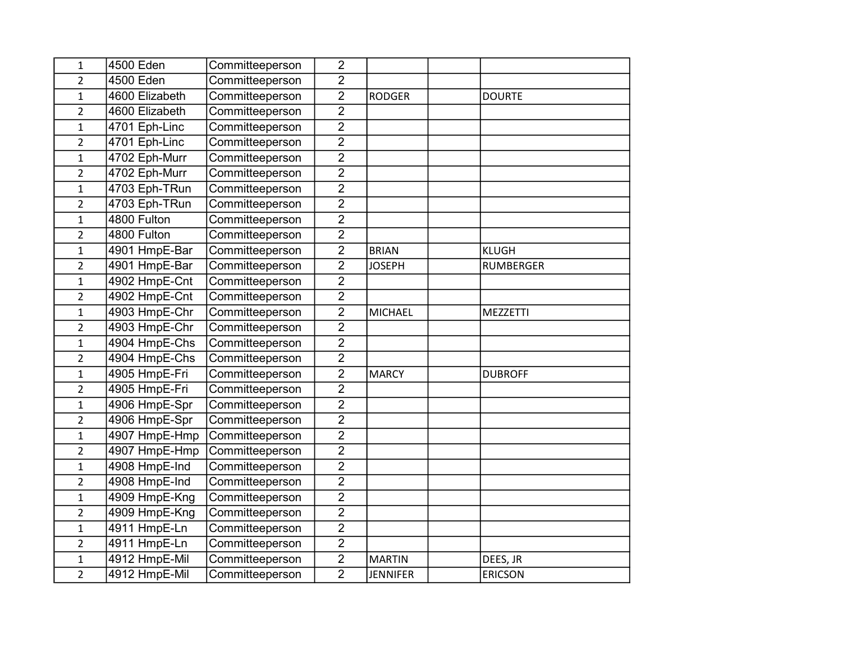| $\mathbf{1}$   | 4500 Eden      | Committeeperson | $\overline{2}$ |                 |                  |
|----------------|----------------|-----------------|----------------|-----------------|------------------|
| $\overline{2}$ | 4500 Eden      | Committeeperson | $\overline{2}$ |                 |                  |
| $\mathbf{1}$   | 4600 Elizabeth | Committeeperson | $\overline{2}$ | <b>RODGER</b>   | <b>DOURTE</b>    |
| $\overline{2}$ | 4600 Elizabeth | Committeeperson | $\overline{2}$ |                 |                  |
| $\mathbf{1}$   | 4701 Eph-Linc  | Committeeperson | $\overline{2}$ |                 |                  |
| $\overline{2}$ | 4701 Eph-Linc  | Committeeperson | $\overline{2}$ |                 |                  |
| $\mathbf{1}$   | 4702 Eph-Murr  | Committeeperson | $\overline{2}$ |                 |                  |
| $\overline{2}$ | 4702 Eph-Murr  | Committeeperson | $\overline{2}$ |                 |                  |
| $\mathbf{1}$   | 4703 Eph-TRun  | Committeeperson | $\overline{2}$ |                 |                  |
| $\overline{2}$ | 4703 Eph-TRun  | Committeeperson | $\overline{2}$ |                 |                  |
| $\mathbf{1}$   | 4800 Fulton    | Committeeperson | $\overline{2}$ |                 |                  |
| $\overline{2}$ | 4800 Fulton    | Committeeperson | $\overline{2}$ |                 |                  |
| 1              | 4901 HmpE-Bar  | Committeeperson | $\overline{2}$ | <b>BRIAN</b>    | <b>KLUGH</b>     |
| $\overline{2}$ | 4901 HmpE-Bar  | Committeeperson | $\overline{2}$ | <b>JOSEPH</b>   | <b>RUMBERGER</b> |
| $\mathbf{1}$   | 4902 HmpE-Cnt  | Committeeperson | $\overline{2}$ |                 |                  |
| $\overline{2}$ | 4902 HmpE-Cnt  | Committeeperson | $\overline{2}$ |                 |                  |
| $\mathbf{1}$   | 4903 HmpE-Chr  | Committeeperson | $\overline{2}$ | <b>MICHAEL</b>  | MEZZETTI         |
| $\overline{2}$ | 4903 HmpE-Chr  | Committeeperson | $\overline{2}$ |                 |                  |
| $\mathbf{1}$   | 4904 HmpE-Chs  | Committeeperson | $\overline{2}$ |                 |                  |
| $\overline{2}$ | 4904 HmpE-Chs  | Committeeperson | $\overline{2}$ |                 |                  |
| $\mathbf{1}$   | 4905 HmpE-Fri  | Committeeperson | $\overline{2}$ | <b>MARCY</b>    | <b>DUBROFF</b>   |
| $\overline{2}$ | 4905 HmpE-Fri  | Committeeperson | $\overline{2}$ |                 |                  |
| 1              | 4906 HmpE-Spr  | Committeeperson | $\overline{2}$ |                 |                  |
| $\overline{2}$ | 4906 HmpE-Spr  | Committeeperson | $\overline{2}$ |                 |                  |
| $\mathbf{1}$   | 4907 HmpE-Hmp  | Committeeperson | $\overline{2}$ |                 |                  |
| $\overline{2}$ | 4907 HmpE-Hmp  | Committeeperson | $\overline{2}$ |                 |                  |
| $\mathbf{1}$   | 4908 HmpE-Ind  | Committeeperson | $\overline{2}$ |                 |                  |
| $\overline{2}$ | 4908 HmpE-Ind  | Committeeperson | $\overline{2}$ |                 |                  |
| $\mathbf{1}$   | 4909 HmpE-Kng  | Committeeperson | $\overline{2}$ |                 |                  |
| $\overline{2}$ | 4909 HmpE-Kng  | Committeeperson | $\overline{2}$ |                 |                  |
| $\mathbf{1}$   | 4911 HmpE-Ln   | Committeeperson | $\overline{2}$ |                 |                  |
| $\overline{2}$ | 4911 HmpE-Ln   | Committeeperson | $\overline{2}$ |                 |                  |
| $\mathbf{1}$   | 4912 HmpE-Mil  | Committeeperson | $\overline{2}$ | <b>MARTIN</b>   | DEES, JR         |
| $\overline{2}$ | 4912 HmpE-Mil  | Committeeperson | $\overline{2}$ | <b>JENNIFER</b> | <b>ERICSON</b>   |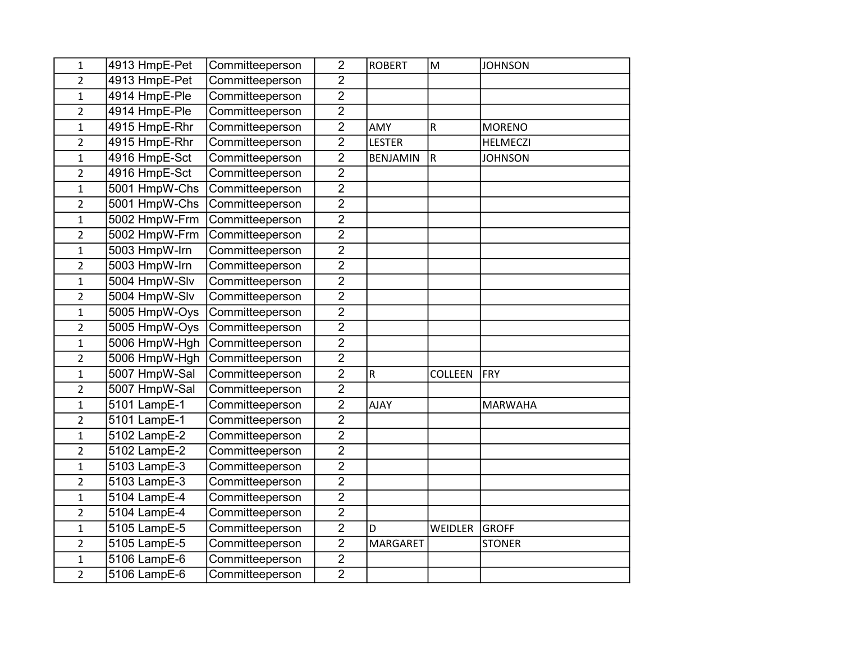| $\mathbf{1}$   | 4913 HmpE-Pet | Committeeperson | $\overline{2}$ | <b>ROBERT</b>   | M                       | <b>JOHNSON</b>  |
|----------------|---------------|-----------------|----------------|-----------------|-------------------------|-----------------|
| $\overline{2}$ | 4913 HmpE-Pet | Committeeperson | $\overline{2}$ |                 |                         |                 |
| $\mathbf{1}$   | 4914 HmpE-Ple | Committeeperson | $\overline{2}$ |                 |                         |                 |
| $\overline{2}$ | 4914 HmpE-Ple | Committeeperson | $\overline{2}$ |                 |                         |                 |
| $\mathbf{1}$   | 4915 HmpE-Rhr | Committeeperson | $\overline{2}$ | <b>AMY</b>      | $\mathsf R$             | <b>MORENO</b>   |
| $\overline{c}$ | 4915 HmpE-Rhr | Committeeperson | $\overline{2}$ | <b>LESTER</b>   |                         | <b>HELMECZI</b> |
| $\mathbf{1}$   | 4916 HmpE-Sct | Committeeperson | $\overline{2}$ | <b>BENJAMIN</b> | $\overline{\mathsf{R}}$ | <b>JOHNSON</b>  |
| $\overline{2}$ | 4916 HmpE-Sct | Committeeperson | $\overline{2}$ |                 |                         |                 |
| $\mathbf{1}$   | 5001 HmpW-Chs | Committeeperson | $\overline{2}$ |                 |                         |                 |
| $\overline{2}$ | 5001 HmpW-Chs | Committeeperson | $\overline{2}$ |                 |                         |                 |
| $\mathbf{1}$   | 5002 HmpW-Frm | Committeeperson | $\overline{2}$ |                 |                         |                 |
| $\overline{2}$ | 5002 HmpW-Frm | Committeeperson | $\overline{2}$ |                 |                         |                 |
| 1              | 5003 HmpW-Irn | Committeeperson | $\overline{2}$ |                 |                         |                 |
| $\overline{2}$ | 5003 HmpW-Irn | Committeeperson | $\overline{2}$ |                 |                         |                 |
| $\mathbf{1}$   | 5004 HmpW-Slv | Committeeperson | $\overline{2}$ |                 |                         |                 |
| $\overline{c}$ | 5004 HmpW-Slv | Committeeperson | $\overline{2}$ |                 |                         |                 |
| $\mathbf 1$    | 5005 HmpW-Oys | Committeeperson | $\overline{2}$ |                 |                         |                 |
| $\overline{2}$ | 5005 HmpW-Oys | Committeeperson | $\overline{2}$ |                 |                         |                 |
| $\mathbf{1}$   | 5006 HmpW-Hgh | Committeeperson | $\overline{2}$ |                 |                         |                 |
| $\overline{2}$ | 5006 HmpW-Hgh | Committeeperson | $\overline{2}$ |                 |                         |                 |
| $\mathbf{1}$   | 5007 HmpW-Sal | Committeeperson | $\overline{2}$ | ${\sf R}$       | <b>COLLEEN</b>          | <b>FRY</b>      |
| $\overline{2}$ | 5007 HmpW-Sal | Committeeperson | $\overline{2}$ |                 |                         |                 |
| $\mathbf{1}$   | 5101 LampE-1  | Committeeperson | $\overline{2}$ | <b>AJAY</b>     |                         | <b>MARWAHA</b>  |
| $\overline{2}$ | 5101 LampE-1  | Committeeperson | $\overline{2}$ |                 |                         |                 |
| $\mathbf{1}$   | 5102 LampE-2  | Committeeperson | $\overline{2}$ |                 |                         |                 |
| $\overline{c}$ | 5102 LampE-2  | Committeeperson | $\overline{2}$ |                 |                         |                 |
| 1              | 5103 LampE-3  | Committeeperson | $\overline{2}$ |                 |                         |                 |
| $\overline{2}$ | 5103 LampE-3  | Committeeperson | $\overline{2}$ |                 |                         |                 |
| $\mathbf{1}$   | 5104 LampE-4  | Committeeperson | $\overline{2}$ |                 |                         |                 |
| $\overline{2}$ | 5104 LampE-4  | Committeeperson | $\overline{2}$ |                 |                         |                 |
| $\mathbf{1}$   | 5105 LampE-5  | Committeeperson | $\overline{2}$ | D               | WEIDLER                 | <b>GROFF</b>    |
| $\overline{2}$ | 5105 LampE-5  | Committeeperson | $\overline{2}$ | <b>MARGARET</b> |                         | <b>STONER</b>   |
| 1              | 5106 LampE-6  | Committeeperson | $\overline{2}$ |                 |                         |                 |
| $\overline{2}$ | 5106 LampE-6  | Committeeperson | $\overline{2}$ |                 |                         |                 |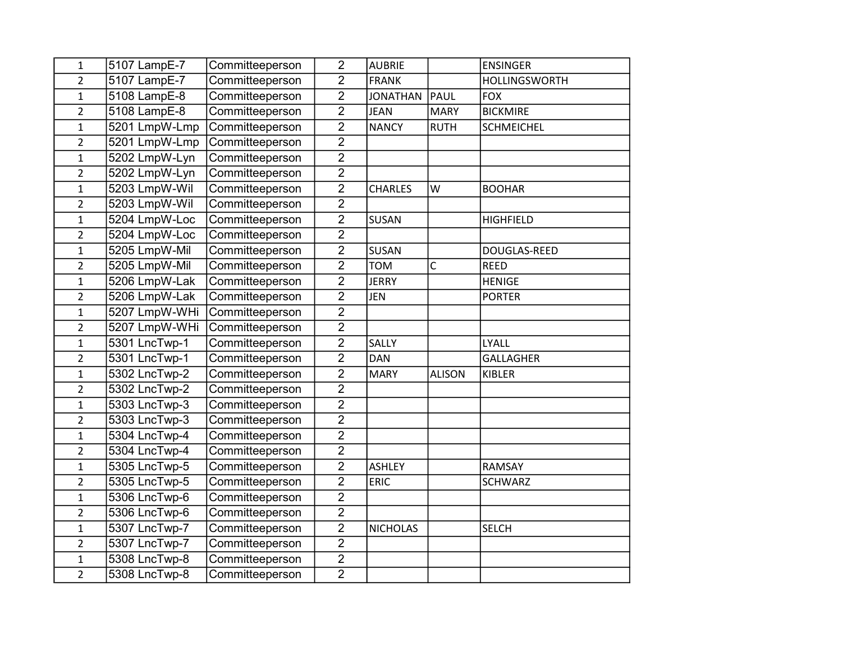| $\mathbf{1}$   | 5107 LampE-7  | Committeeperson | $\overline{2}$                   | <b>AUBRIE</b>   |               | <b>ENSINGER</b>      |
|----------------|---------------|-----------------|----------------------------------|-----------------|---------------|----------------------|
| $\overline{2}$ | 5107 LampE-7  | Committeeperson | $\overline{2}$                   | <b>FRANK</b>    |               | <b>HOLLINGSWORTH</b> |
| $\mathbf{1}$   | 5108 LampE-8  | Committeeperson | $\overline{2}$                   | <b>JONATHAN</b> | PAUL          | <b>FOX</b>           |
| $\overline{2}$ | 5108 LampE-8  | Committeeperson | $\overline{2}$                   | <b>JEAN</b>     | <b>MARY</b>   | <b>BICKMIRE</b>      |
| $\mathbf{1}$   | 5201 LmpW-Lmp | Committeeperson | $\overline{2}$                   | <b>NANCY</b>    | <b>RUTH</b>   | <b>SCHMEICHEL</b>    |
| $\overline{2}$ | 5201 LmpW-Lmp | Committeeperson | $\overline{2}$                   |                 |               |                      |
| $\mathbf{1}$   | 5202 LmpW-Lyn | Committeeperson | $\overline{2}$                   |                 |               |                      |
| $\overline{2}$ | 5202 LmpW-Lyn | Committeeperson | $\overline{2}$                   |                 |               |                      |
| $\mathbf{1}$   | 5203 LmpW-Wil | Committeeperson | $\overline{2}$                   | <b>CHARLES</b>  | W             | <b>BOOHAR</b>        |
| $\overline{2}$ | 5203 LmpW-Wil | Committeeperson | $\overline{2}$                   |                 |               |                      |
| $\mathbf 1$    | 5204 LmpW-Loc | Committeeperson | $\overline{2}$                   | <b>SUSAN</b>    |               | <b>HIGHFIELD</b>     |
| $\overline{2}$ | 5204 LmpW-Loc | Committeeperson | $\overline{2}$                   |                 |               |                      |
| $\mathbf{1}$   | 5205 LmpW-Mil | Committeeperson | $\overline{2}$                   | <b>SUSAN</b>    |               | DOUGLAS-REED         |
| $\overline{2}$ | 5205 LmpW-Mil | Committeeperson | $\overline{2}$                   | <b>TOM</b>      | $\mathsf{C}$  | <b>REED</b>          |
| $\mathbf{1}$   | 5206 LmpW-Lak | Committeeperson | $\overline{2}$                   | <b>JERRY</b>    |               | <b>HENIGE</b>        |
| $\overline{c}$ | 5206 LmpW-Lak | Committeeperson | $\overline{2}$                   | <b>JEN</b>      |               | <b>PORTER</b>        |
| $\mathbf{1}$   | 5207 LmpW-WHi | Committeeperson | $\overline{2}$                   |                 |               |                      |
| $\overline{2}$ | 5207 LmpW-WHi | Committeeperson | $\overline{2}$                   |                 |               |                      |
|                |               |                 |                                  | <b>SALLY</b>    |               | LYALL                |
| $\mathbf 1$    | 5301 LncTwp-1 | Committeeperson | $\overline{2}$                   |                 |               |                      |
| $\overline{2}$ | 5301 LncTwp-1 | Committeeperson | $\overline{2}$                   | <b>DAN</b>      |               | <b>GALLAGHER</b>     |
| $\mathbf{1}$   | 5302 LncTwp-2 | Committeeperson | $\overline{2}$                   | <b>MARY</b>     | <b>ALISON</b> | KIBLER               |
| $\overline{2}$ | 5302 LncTwp-2 | Committeeperson | $\overline{2}$                   |                 |               |                      |
| $\mathbf{1}$   | 5303 LncTwp-3 | Committeeperson | $\overline{2}$                   |                 |               |                      |
| $\overline{2}$ | 5303 LncTwp-3 | Committeeperson | $\overline{2}$                   |                 |               |                      |
| $\mathbf{1}$   | 5304 LncTwp-4 | Committeeperson | $\overline{2}$                   |                 |               |                      |
| $\overline{2}$ | 5304 LncTwp-4 | Committeeperson | $\overline{2}$                   |                 |               |                      |
| $\mathbf{1}$   | 5305 LncTwp-5 | Committeeperson | $\overline{2}$                   | <b>ASHLEY</b>   |               | <b>RAMSAY</b>        |
| $\overline{2}$ | 5305 LncTwp-5 | Committeeperson | $\overline{2}$                   | <b>ERIC</b>     |               | <b>SCHWARZ</b>       |
| $\mathbf{1}$   | 5306 LncTwp-6 | Committeeperson | $\overline{2}$                   |                 |               |                      |
| $\overline{2}$ | 5306 LncTwp-6 | Committeeperson | $\overline{2}$                   |                 |               |                      |
| $\mathbf{1}$   | 5307 LncTwp-7 | Committeeperson | $\overline{2}$                   | <b>NICHOLAS</b> |               | <b>SELCH</b>         |
| $\overline{2}$ | 5307 LncTwp-7 | Committeeperson | $\overline{2}$                   |                 |               |                      |
| $\mathbf{1}$   | 5308 LncTwp-8 | Committeeperson | $\overline{2}$<br>$\overline{2}$ |                 |               |                      |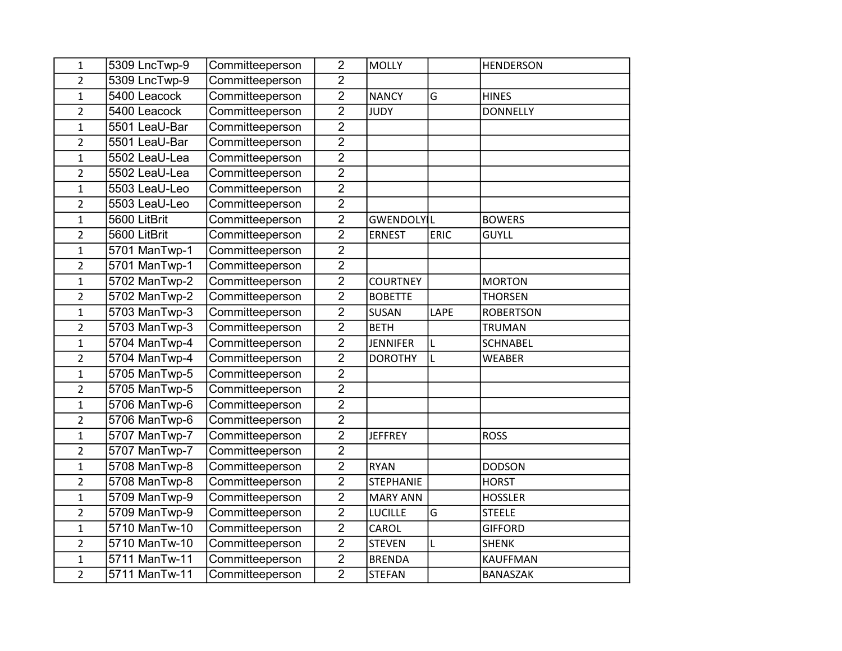| $\mathbf{1}$   | 5309 LncTwp-9 | Committeeperson | $\overline{2}$ | <b>MOLLY</b>      |      | <b>HENDERSON</b> |
|----------------|---------------|-----------------|----------------|-------------------|------|------------------|
| $\overline{2}$ | 5309 LncTwp-9 | Committeeperson | $\overline{2}$ |                   |      |                  |
| $\mathbf{1}$   | 5400 Leacock  | Committeeperson | $\overline{2}$ | <b>NANCY</b>      | G    | <b>HINES</b>     |
| $\overline{c}$ | 5400 Leacock  | Committeeperson | $\overline{2}$ | <b>JUDY</b>       |      | <b>DONNELLY</b>  |
| $\mathbf{1}$   | 5501 LeaU-Bar | Committeeperson | $\overline{2}$ |                   |      |                  |
| $\overline{c}$ | 5501 LeaU-Bar | Committeeperson | $\overline{2}$ |                   |      |                  |
| $\mathbf 1$    | 5502 LeaU-Lea | Committeeperson | $\overline{2}$ |                   |      |                  |
| $\overline{2}$ | 5502 LeaU-Lea | Committeeperson | $\overline{2}$ |                   |      |                  |
| $\mathbf{1}$   | 5503 LeaU-Leo | Committeeperson | $\overline{2}$ |                   |      |                  |
| $\overline{2}$ | 5503 LeaU-Leo | Committeeperson | $\overline{2}$ |                   |      |                  |
| $\mathbf{1}$   | 5600 LitBrit  | Committeeperson | $\overline{2}$ | <b>GWENDOLYLL</b> |      | <b>BOWERS</b>    |
| $\overline{c}$ | 5600 LitBrit  | Committeeperson | $\overline{2}$ | <b>ERNEST</b>     | ERIC | <b>GUYLL</b>     |
| $\mathbf{1}$   | 5701 ManTwp-1 | Committeeperson | $\overline{2}$ |                   |      |                  |
| $\overline{2}$ | 5701 ManTwp-1 | Committeeperson | $\overline{2}$ |                   |      |                  |
| $\mathbf{1}$   | 5702 ManTwp-2 | Committeeperson | $\overline{2}$ | <b>COURTNEY</b>   |      | <b>MORTON</b>    |
| $\overline{c}$ | 5702 ManTwp-2 | Committeeperson | $\overline{2}$ | <b>BOBETTE</b>    |      | <b>THORSEN</b>   |
| $\mathbf 1$    | 5703 ManTwp-3 | Committeeperson | $\overline{2}$ | SUSAN             | LAPE | <b>ROBERTSON</b> |
| $\overline{2}$ | 5703 ManTwp-3 | Committeeperson | $\overline{2}$ | <b>BETH</b>       |      | <b>TRUMAN</b>    |
| $\mathbf{1}$   | 5704 ManTwp-4 | Committeeperson | $\overline{2}$ | <b>JENNIFER</b>   | L    | <b>SCHNABEL</b>  |
| $\overline{c}$ | 5704 ManTwp-4 | Committeeperson | $\overline{2}$ | <b>DOROTHY</b>    | L    | <b>WEABER</b>    |
| $\overline{1}$ | 5705 ManTwp-5 | Committeeperson | $\overline{2}$ |                   |      |                  |
| $\overline{2}$ | 5705 ManTwp-5 | Committeeperson | $\overline{2}$ |                   |      |                  |
| 1              | 5706 ManTwp-6 | Committeeperson | $\overline{2}$ |                   |      |                  |
| $\overline{2}$ | 5706 ManTwp-6 | Committeeperson | $\overline{2}$ |                   |      |                  |
| $\mathbf{1}$   | 5707 ManTwp-7 | Committeeperson | $\overline{2}$ | <b>JEFFREY</b>    |      | <b>ROSS</b>      |
| $\overline{2}$ | 5707 ManTwp-7 | Committeeperson | $\overline{2}$ |                   |      |                  |
| $\mathbf{1}$   | 5708 ManTwp-8 | Committeeperson | $\overline{2}$ | <b>RYAN</b>       |      | <b>DODSON</b>    |
| $\overline{c}$ | 5708 ManTwp-8 | Committeeperson | $\overline{2}$ | <b>STEPHANIE</b>  |      | <b>HORST</b>     |
| $\mathbf{1}$   | 5709 ManTwp-9 | Committeeperson | $\overline{2}$ | <b>MARY ANN</b>   |      | <b>HOSSLER</b>   |
| $\overline{2}$ | 5709 ManTwp-9 | Committeeperson | $\overline{2}$ | <b>LUCILLE</b>    | G    | <b>STEELE</b>    |
| $\overline{1}$ | 5710 ManTw-10 | Committeeperson | $\overline{2}$ | CAROL             |      | <b>GIFFORD</b>   |
| $\overline{2}$ | 5710 ManTw-10 | Committeeperson | $\overline{2}$ | <b>STEVEN</b>     | L    | <b>SHENK</b>     |
| $\mathbf{1}$   | 5711 ManTw-11 | Committeeperson | $\overline{2}$ | <b>BRENDA</b>     |      | <b>KAUFFMAN</b>  |
| $\overline{2}$ | 5711 ManTw-11 | Committeeperson | $\overline{2}$ | <b>STEFAN</b>     |      | <b>BANASZAK</b>  |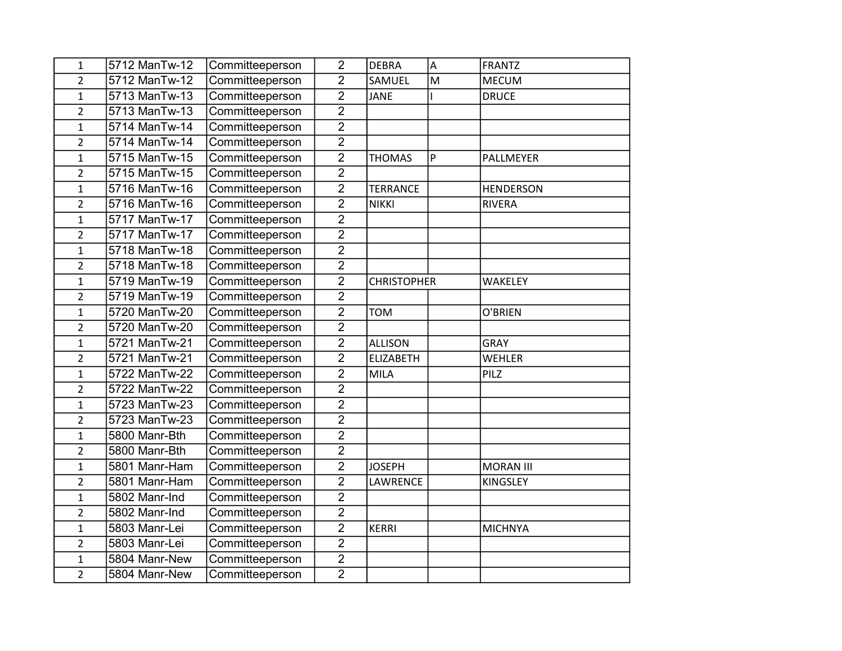| 1              | 5712 ManTw-12 | Committeeperson | $\overline{2}$ | <b>DEBRA</b>       | A | <b>FRANTZ</b>    |
|----------------|---------------|-----------------|----------------|--------------------|---|------------------|
| $\overline{2}$ | 5712 ManTw-12 | Committeeperson | $\overline{2}$ | SAMUEL             | M | <b>MECUM</b>     |
| 1              | 5713 ManTw-13 | Committeeperson | $\overline{2}$ | <b>JANE</b>        |   | <b>DRUCE</b>     |
| $\overline{2}$ | 5713 ManTw-13 | Committeeperson | $\overline{2}$ |                    |   |                  |
| $\mathbf{1}$   | 5714 ManTw-14 | Committeeperson | $\overline{2}$ |                    |   |                  |
| $\overline{c}$ | 5714 ManTw-14 | Committeeperson | $\overline{2}$ |                    |   |                  |
| $\mathbf{1}$   | 5715 ManTw-15 | Committeeperson | $\overline{2}$ | <b>THOMAS</b>      | P | PALLMEYER        |
| $\overline{2}$ | 5715 ManTw-15 | Committeeperson | $\overline{2}$ |                    |   |                  |
| $\mathbf{1}$   | 5716 ManTw-16 | Committeeperson | $\overline{2}$ | <b>TERRANCE</b>    |   | <b>HENDERSON</b> |
| $\overline{2}$ | 5716 ManTw-16 | Committeeperson | $\overline{2}$ | <b>NIKKI</b>       |   | <b>RIVERA</b>    |
| $\mathbf{1}$   | 5717 ManTw-17 | Committeeperson | $\overline{2}$ |                    |   |                  |
| $\overline{2}$ | 5717 ManTw-17 | Committeeperson | $\overline{2}$ |                    |   |                  |
| $\overline{1}$ | 5718 ManTw-18 | Committeeperson | $\overline{2}$ |                    |   |                  |
| $\overline{2}$ | 5718 ManTw-18 | Committeeperson | $\overline{2}$ |                    |   |                  |
| $\mathbf{1}$   | 5719 ManTw-19 | Committeeperson | $\overline{2}$ | <b>CHRISTOPHER</b> |   | WAKELEY          |
| $\overline{2}$ | 5719 ManTw-19 | Committeeperson | $\overline{2}$ |                    |   |                  |
| $\mathbf{1}$   | 5720 ManTw-20 | Committeeperson | $\overline{2}$ | <b>TOM</b>         |   | O'BRIEN          |
| $\overline{2}$ | 5720 ManTw-20 | Committeeperson | $\overline{2}$ |                    |   |                  |
| $\mathbf{1}$   | 5721 ManTw-21 | Committeeperson | $\overline{2}$ | <b>ALLISON</b>     |   | GRAY             |
| $\overline{2}$ | 5721 ManTw-21 | Committeeperson | $\overline{2}$ | <b>ELIZABETH</b>   |   | <b>WEHLER</b>    |
| $\mathbf{1}$   | 5722 ManTw-22 | Committeeperson | $\overline{2}$ | <b>MILA</b>        |   | PILZ             |
| $\overline{2}$ | 5722 ManTw-22 | Committeeperson | $\overline{2}$ |                    |   |                  |
| 1              | 5723 ManTw-23 | Committeeperson | $\overline{2}$ |                    |   |                  |
| $\overline{2}$ | 5723 ManTw-23 | Committeeperson | $\overline{2}$ |                    |   |                  |
| $\mathbf{1}$   | 5800 Manr-Bth | Committeeperson | $\overline{2}$ |                    |   |                  |
| $\overline{2}$ | 5800 Manr-Bth | Committeeperson | $\overline{2}$ |                    |   |                  |
| $\mathbf 1$    | 5801 Manr-Ham | Committeeperson | $\overline{2}$ | <b>JOSEPH</b>      |   | <b>MORAN III</b> |
| $\overline{2}$ | 5801 Manr-Ham | Committeeperson | $\overline{2}$ | LAWRENCE           |   | KINGSLEY         |
| $\mathbf{1}$   | 5802 Manr-Ind | Committeeperson | $\overline{2}$ |                    |   |                  |
| $\overline{2}$ | 5802 Manr-Ind | Committeeperson | $\overline{2}$ |                    |   |                  |
| $\mathbf{1}$   | 5803 Manr-Lei | Committeeperson | $\overline{2}$ | <b>KERRI</b>       |   | <b>MICHNYA</b>   |
| $\overline{2}$ | 5803 Manr-Lei | Committeeperson | $\overline{2}$ |                    |   |                  |
| 1              | 5804 Manr-New | Committeeperson | $\overline{2}$ |                    |   |                  |
| $\overline{2}$ | 5804 Manr-New | Committeeperson | $\overline{2}$ |                    |   |                  |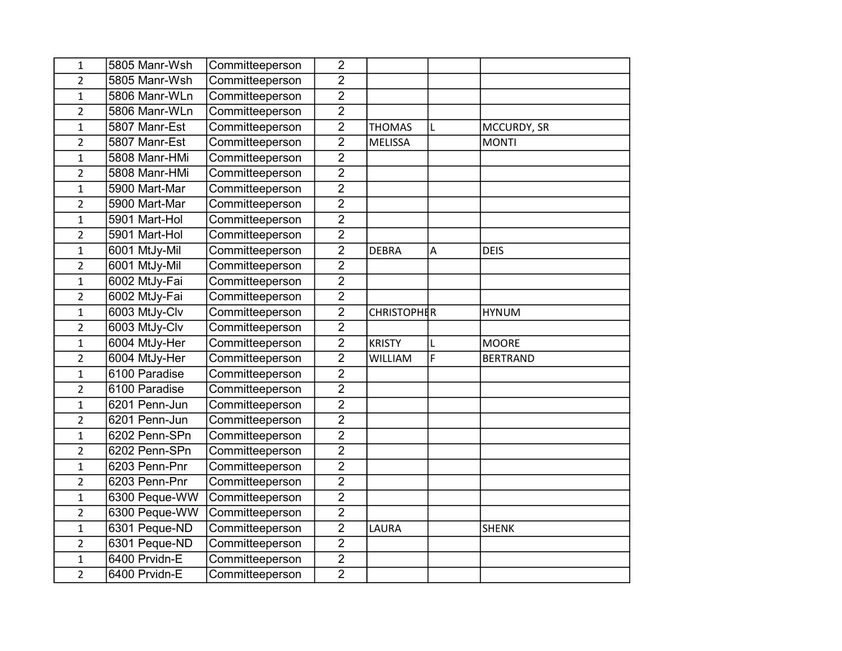| 1              | 5805 Manr-Wsh | Committeeperson | $\overline{2}$ |                    |   |                 |
|----------------|---------------|-----------------|----------------|--------------------|---|-----------------|
| $\overline{2}$ | 5805 Manr-Wsh | Committeeperson | $\overline{2}$ |                    |   |                 |
| 1              | 5806 Manr-WLn | Committeeperson | $\overline{2}$ |                    |   |                 |
| $\overline{2}$ | 5806 Manr-WLn | Committeeperson | $\overline{2}$ |                    |   |                 |
| $\mathbf 1$    | 5807 Manr-Est | Committeeperson | $\overline{2}$ | <b>THOMAS</b>      | L | MCCURDY, SR     |
| $\overline{2}$ | 5807 Manr-Est | Committeeperson | $\overline{2}$ | <b>MELISSA</b>     |   | <b>MONTI</b>    |
| $\mathbf{1}$   | 5808 Manr-HMi | Committeeperson | $\overline{2}$ |                    |   |                 |
| $\overline{2}$ | 5808 Manr-HMi | Committeeperson | $\overline{2}$ |                    |   |                 |
| $\mathbf{1}$   | 5900 Mart-Mar | Committeeperson | $\overline{2}$ |                    |   |                 |
| $\overline{2}$ | 5900 Mart-Mar | Committeeperson | $\overline{2}$ |                    |   |                 |
| $\mathbf{1}$   | 5901 Mart-Hol | Committeeperson | $\overline{2}$ |                    |   |                 |
| $\overline{2}$ | 5901 Mart-Hol | Committeeperson | $\overline{2}$ |                    |   |                 |
| $\mathbf{1}$   | 6001 MtJy-Mil | Committeeperson | $\overline{2}$ | <b>DEBRA</b>       | А | <b>DEIS</b>     |
| $\overline{2}$ | 6001 MtJy-Mil | Committeeperson | $\overline{2}$ |                    |   |                 |
| $\mathbf 1$    | 6002 MtJy-Fai | Committeeperson | $\overline{2}$ |                    |   |                 |
| $\overline{2}$ | 6002 MtJy-Fai | Committeeperson | $\overline{2}$ |                    |   |                 |
| $\mathbf 1$    | 6003 MtJy-Clv | Committeeperson | $\overline{2}$ | <b>CHRISTOPHER</b> |   | <b>HYNUM</b>    |
| $\overline{2}$ | 6003 MtJy-Clv | Committeeperson | $\overline{2}$ |                    |   |                 |
| $\mathbf 1$    | 6004 MtJy-Her | Committeeperson | $\overline{2}$ | <b>KRISTY</b>      |   | <b>MOORE</b>    |
| $\overline{2}$ | 6004 MtJy-Her | Committeeperson | $\overline{2}$ | WILLIAM            | F | <b>BERTRAND</b> |
| $\mathbf{1}$   | 6100 Paradise | Committeeperson | $\overline{2}$ |                    |   |                 |
| $\overline{2}$ | 6100 Paradise | Committeeperson | $\overline{2}$ |                    |   |                 |
| $\mathbf{1}$   | 6201 Penn-Jun | Committeeperson | $\overline{2}$ |                    |   |                 |
| $\overline{2}$ | 6201 Penn-Jun | Committeeperson | $\overline{2}$ |                    |   |                 |
| $\mathbf 1$    | 6202 Penn-SPn | Committeeperson | $\overline{2}$ |                    |   |                 |
| $\overline{2}$ | 6202 Penn-SPn | Committeeperson | $\overline{2}$ |                    |   |                 |
| $\mathbf{1}$   | 6203 Penn-Pnr | Committeeperson | $\overline{2}$ |                    |   |                 |
| $\overline{2}$ | 6203 Penn-Pnr | Committeeperson | $\overline{2}$ |                    |   |                 |
| $\mathbf 1$    | 6300 Peque-WW | Committeeperson | $\overline{2}$ |                    |   |                 |
| $\overline{2}$ | 6300 Peque-WW | Committeeperson | $\overline{2}$ |                    |   |                 |
| $\mathbf{1}$   | 6301 Peque-ND | Committeeperson | $\overline{2}$ | LAURA              |   | <b>SHENK</b>    |
| $\overline{2}$ | 6301 Peque-ND | Committeeperson | $\overline{2}$ |                    |   |                 |
| $\mathbf{1}$   | 6400 Prvidn-E | Committeeperson | $\overline{2}$ |                    |   |                 |
| $\overline{2}$ | 6400 Prvidn-E | Committeeperson | $\overline{2}$ |                    |   |                 |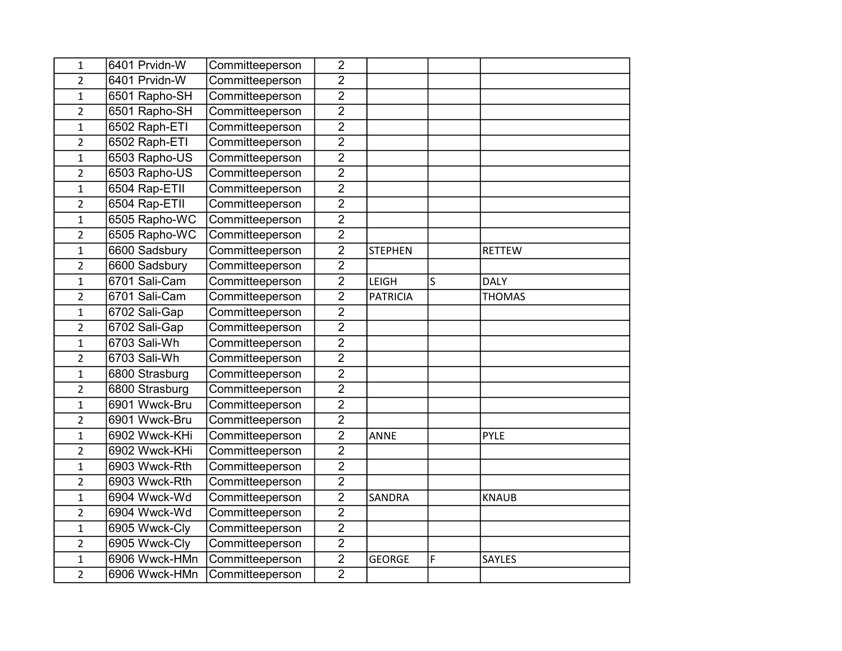| 1              | 6401 Prvidn-W  | Committeeperson | $\overline{2}$ |                 |   |               |
|----------------|----------------|-----------------|----------------|-----------------|---|---------------|
| $\overline{2}$ | 6401 Prvidn-W  | Committeeperson | $\overline{2}$ |                 |   |               |
| $\mathbf{1}$   | 6501 Rapho-SH  | Committeeperson | $\overline{2}$ |                 |   |               |
| $\overline{2}$ | 6501 Rapho-SH  | Committeeperson | $\overline{2}$ |                 |   |               |
| $\mathbf{1}$   | 6502 Raph-ETI  | Committeeperson | $\overline{2}$ |                 |   |               |
| $\overline{2}$ | 6502 Raph-ETI  | Committeeperson | $\overline{2}$ |                 |   |               |
| $\mathbf{1}$   | 6503 Rapho-US  | Committeeperson | $\overline{2}$ |                 |   |               |
| $\overline{2}$ | 6503 Rapho-US  | Committeeperson | $\overline{2}$ |                 |   |               |
| $\mathbf{1}$   | 6504 Rap-ETII  | Committeeperson | $\overline{2}$ |                 |   |               |
| $\overline{2}$ | 6504 Rap-ETII  | Committeeperson | $\overline{2}$ |                 |   |               |
| $\mathbf 1$    | 6505 Rapho-WC  | Committeeperson | $\overline{2}$ |                 |   |               |
| $\overline{2}$ | 6505 Rapho-WC  | Committeeperson | $\overline{2}$ |                 |   |               |
| $\mathbf{1}$   | 6600 Sadsbury  | Committeeperson | $\overline{2}$ | <b>STEPHEN</b>  |   | <b>RETTEW</b> |
| $\overline{2}$ | 6600 Sadsbury  | Committeeperson | $\overline{2}$ |                 |   |               |
| $\mathbf{1}$   | 6701 Sali-Cam  | Committeeperson | $\overline{2}$ | LEIGH           | S | <b>DALY</b>   |
| $\overline{2}$ | 6701 Sali-Cam  | Committeeperson | $\overline{2}$ | <b>PATRICIA</b> |   | <b>THOMAS</b> |
| $\mathbf{1}$   | 6702 Sali-Gap  | Committeeperson | $\overline{2}$ |                 |   |               |
| $\overline{2}$ | 6702 Sali-Gap  | Committeeperson | $\overline{2}$ |                 |   |               |
| $\mathbf 1$    | 6703 Sali-Wh   | Committeeperson | $\overline{2}$ |                 |   |               |
| $\overline{2}$ | 6703 Sali-Wh   | Committeeperson | $\overline{2}$ |                 |   |               |
| $\mathbf 1$    | 6800 Strasburg | Committeeperson | $\overline{2}$ |                 |   |               |
| $\overline{2}$ | 6800 Strasburg | Committeeperson | $\overline{2}$ |                 |   |               |
| $\mathbf{1}$   | 6901 Wwck-Bru  | Committeeperson | $\overline{2}$ |                 |   |               |
| $\overline{2}$ | 6901 Wwck-Bru  | Committeeperson | $\overline{2}$ |                 |   |               |
| $\mathbf{1}$   | 6902 Wwck-KHi  | Committeeperson | $\overline{2}$ | <b>ANNE</b>     |   | <b>PYLE</b>   |
| $\overline{2}$ | 6902 Wwck-KHi  | Committeeperson | $\overline{2}$ |                 |   |               |
| $\mathbf{1}$   | 6903 Wwck-Rth  | Committeeperson | $\overline{2}$ |                 |   |               |
| $\overline{2}$ | 6903 Wwck-Rth  | Committeeperson | $\overline{2}$ |                 |   |               |
| $\mathbf{1}$   | 6904 Wwck-Wd   | Committeeperson | $\overline{2}$ | SANDRA          |   | <b>KNAUB</b>  |
| $\overline{2}$ | 6904 Wwck-Wd   | Committeeperson | $\overline{2}$ |                 |   |               |
| $\overline{1}$ | 6905 Wwck-Cly  | Committeeperson | $\overline{2}$ |                 |   |               |
| $\overline{2}$ | 6905 Wwck-Cly  | Committeeperson | $\overline{2}$ |                 |   |               |
| $\mathbf 1$    | 6906 Wwck-HMn  | Committeeperson | $\overline{2}$ | <b>GEORGE</b>   | F | SAYLES        |
| $\overline{2}$ | 6906 Wwck-HMn  | Committeeperson | $\overline{2}$ |                 |   |               |